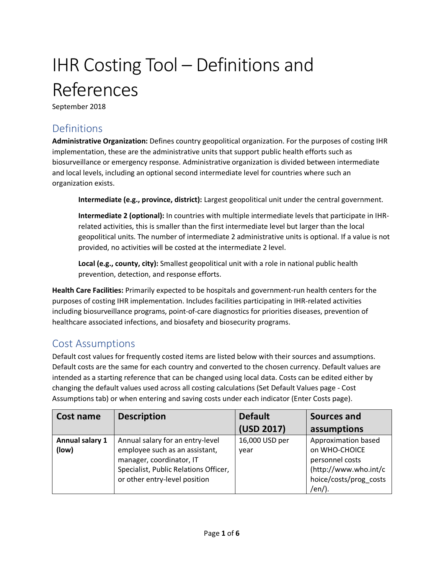## IHR Costing Tool – Definitions and References

September 2018

## Definitions

**Administrative Organization:** Defines country geopolitical organization. For the purposes of costing IHR implementation, these are the administrative units that support public health efforts such as biosurveillance or emergency response. Administrative organization is divided between intermediate and local levels, including an optional second intermediate level for countries where such an organization exists.

**Intermediate (e.g., province, district):** Largest geopolitical unit under the central government.

**Intermediate 2 (optional):** In countries with multiple intermediate levels that participate in IHRrelated activities, this is smaller than the first intermediate level but larger than the local geopolitical units. The number of intermediate 2 administrative units is optional. If a value is not provided, no activities will be costed at the intermediate 2 level.

**Local (e.g., county, city):** Smallest geopolitical unit with a role in national public health prevention, detection, and response efforts.

**Health Care Facilities:** Primarily expected to be hospitals and government-run health centers for the purposes of costing IHR implementation. Includes facilities participating in IHR-related activities including biosurveillance programs, point-of-care diagnostics for priorities diseases, prevention of healthcare associated infections, and biosafety and biosecurity programs.

## Cost Assumptions

Default cost values for frequently costed items are listed below with their sources and assumptions. Default costs are the same for each country and converted to the chosen currency. Default values are intended as a starting reference that can be changed using local data. Costs can be edited either by changing the default values used across all costing calculations (Set Default Values page - Cost Assumptions tab) or when entering and saving costs under each indicator (Enter Costs page).

| Cost name       | <b>Description</b>                    | <b>Default</b> | Sources and            |
|-----------------|---------------------------------------|----------------|------------------------|
|                 |                                       | (USD 2017)     | assumptions            |
| Annual salary 1 | Annual salary for an entry-level      | 16,000 USD per | Approximation based    |
| (low)           | employee such as an assistant,        | year           | on WHO-CHOICE          |
|                 | manager, coordinator, IT              |                | personnel costs        |
|                 | Specialist, Public Relations Officer, |                | (http://www.who.int/c  |
|                 | or other entry-level position         |                | hoice/costs/prog_costs |
|                 |                                       |                | /en/).                 |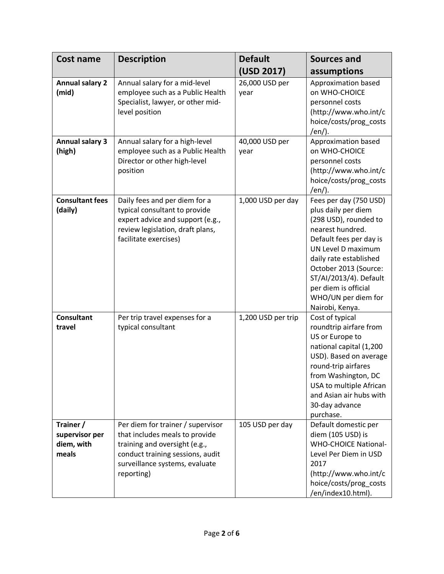| <b>Cost name</b>                                   | <b>Description</b>                                                                                                                                                                       | <b>Default</b>         | Sources and                                                                                                                                                                                                                                                                                |
|----------------------------------------------------|------------------------------------------------------------------------------------------------------------------------------------------------------------------------------------------|------------------------|--------------------------------------------------------------------------------------------------------------------------------------------------------------------------------------------------------------------------------------------------------------------------------------------|
|                                                    |                                                                                                                                                                                          | (USD 2017)             | assumptions                                                                                                                                                                                                                                                                                |
| <b>Annual salary 2</b><br>(mid)                    | Annual salary for a mid-level<br>employee such as a Public Health<br>Specialist, lawyer, or other mid-<br>level position                                                                 | 26,000 USD per<br>year | Approximation based<br>on WHO-CHOICE<br>personnel costs<br>(http://www.who.int/c<br>hoice/costs/prog_costs<br>/en/).                                                                                                                                                                       |
| <b>Annual salary 3</b><br>(high)                   | Annual salary for a high-level<br>employee such as a Public Health<br>Director or other high-level<br>position                                                                           | 40,000 USD per<br>year | Approximation based<br>on WHO-CHOICE<br>personnel costs<br>(http://www.who.int/c<br>hoice/costs/prog_costs<br>/en/).                                                                                                                                                                       |
| <b>Consultant fees</b><br>(daily)                  | Daily fees and per diem for a<br>typical consultant to provide<br>expert advice and support (e.g.,<br>review legislation, draft plans,<br>facilitate exercises)                          | 1,000 USD per day      | Fees per day (750 USD)<br>plus daily per diem<br>(298 USD), rounded to<br>nearest hundred.<br>Default fees per day is<br>UN Level D maximum<br>daily rate established<br>October 2013 (Source:<br>ST/AI/2013/4). Default<br>per diem is official<br>WHO/UN per diem for<br>Nairobi, Kenya. |
| <b>Consultant</b><br>travel                        | Per trip travel expenses for a<br>typical consultant                                                                                                                                     | 1,200 USD per trip     | Cost of typical<br>roundtrip airfare from<br>US or Europe to<br>national capital (1,200<br>USD). Based on average<br>round-trip airfares<br>from Washington, DC<br>USA to multiple African<br>and Asian air hubs with<br>30-day advance<br>purchase.                                       |
| Trainer /<br>supervisor per<br>diem, with<br>meals | Per diem for trainer / supervisor<br>that includes meals to provide<br>training and oversight (e.g.,<br>conduct training sessions, audit<br>surveillance systems, evaluate<br>reporting) | 105 USD per day        | Default domestic per<br>diem (105 USD) is<br><b>WHO-CHOICE National-</b><br>Level Per Diem in USD<br>2017<br>(http://www.who.int/c<br>hoice/costs/prog_costs<br>/en/index10.html).                                                                                                         |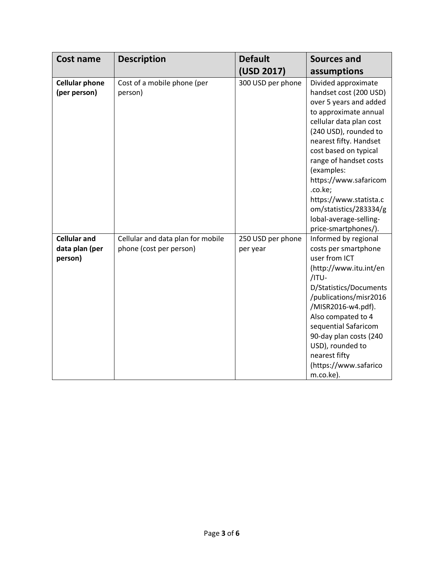| <b>Cost name</b>                                 | <b>Description</b>                                           | <b>Default</b>                | Sources and                                                                                                                                                                                                                                                                                                                                                                               |
|--------------------------------------------------|--------------------------------------------------------------|-------------------------------|-------------------------------------------------------------------------------------------------------------------------------------------------------------------------------------------------------------------------------------------------------------------------------------------------------------------------------------------------------------------------------------------|
|                                                  |                                                              | (USD 2017)                    | assumptions                                                                                                                                                                                                                                                                                                                                                                               |
| <b>Cellular phone</b><br>(per person)            | Cost of a mobile phone (per<br>person)                       | 300 USD per phone             | Divided approximate<br>handset cost (200 USD)<br>over 5 years and added<br>to approximate annual<br>cellular data plan cost<br>(240 USD), rounded to<br>nearest fifty. Handset<br>cost based on typical<br>range of handset costs<br>(examples:<br>https://www.safaricom<br>.co.ke;<br>https://www.statista.c<br>om/statistics/283334/g<br>lobal-average-selling-<br>price-smartphones/). |
| <b>Cellular and</b><br>data plan (per<br>person) | Cellular and data plan for mobile<br>phone (cost per person) | 250 USD per phone<br>per year | Informed by regional<br>costs per smartphone<br>user from ICT<br>(http://www.itu.int/en<br>/ITU-<br>D/Statistics/Documents<br>/publications/misr2016<br>/MISR2016-w4.pdf).<br>Also compated to 4<br>sequential Safaricom<br>90-day plan costs (240<br>USD), rounded to<br>nearest fifty<br>(https://www.safarico<br>m.co.ke).                                                             |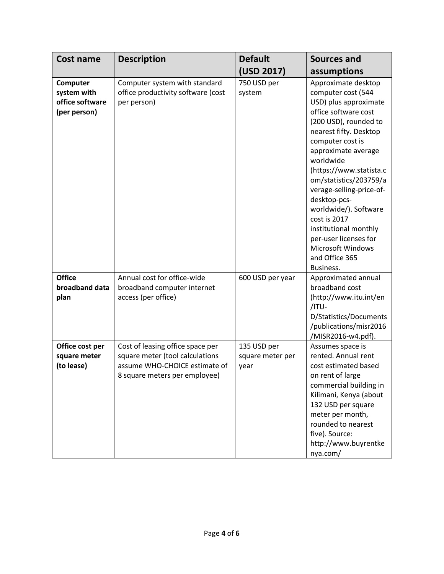| Cost name                                                  | <b>Description</b>                                                                                                                    | <b>Default</b>                          | Sources and                                                                                                                                                                                                                                                                                                                                                                                                                                                  |
|------------------------------------------------------------|---------------------------------------------------------------------------------------------------------------------------------------|-----------------------------------------|--------------------------------------------------------------------------------------------------------------------------------------------------------------------------------------------------------------------------------------------------------------------------------------------------------------------------------------------------------------------------------------------------------------------------------------------------------------|
|                                                            |                                                                                                                                       | (USD 2017)                              | assumptions                                                                                                                                                                                                                                                                                                                                                                                                                                                  |
| Computer<br>system with<br>office software<br>(per person) | Computer system with standard<br>office productivity software (cost<br>per person)                                                    | 750 USD per<br>system                   | Approximate desktop<br>computer cost (544<br>USD) plus approximate<br>office software cost<br>(200 USD), rounded to<br>nearest fifty. Desktop<br>computer cost is<br>approximate average<br>worldwide<br>(https://www.statista.c<br>om/statistics/203759/a<br>verage-selling-price-of-<br>desktop-pcs-<br>worldwide/). Software<br>cost is 2017<br>institutional monthly<br>per-user licenses for<br><b>Microsoft Windows</b><br>and Office 365<br>Business. |
| <b>Office</b><br>broadband data<br>plan                    | Annual cost for office-wide<br>broadband computer internet<br>access (per office)                                                     | 600 USD per year                        | Approximated annual<br>broadband cost<br>(http://www.itu.int/en<br>/ITU-<br>D/Statistics/Documents<br>/publications/misr2016<br>/MISR2016-w4.pdf).                                                                                                                                                                                                                                                                                                           |
| Office cost per<br>square meter<br>(to lease)              | Cost of leasing office space per<br>square meter (tool calculations<br>assume WHO-CHOICE estimate of<br>8 square meters per employee) | 135 USD per<br>square meter per<br>year | Assumes space is<br>rented. Annual rent<br>cost estimated based<br>on rent of large<br>commercial building in<br>Kilimani, Kenya (about<br>132 USD per square<br>meter per month,<br>rounded to nearest<br>five). Source:<br>http://www.buyrentke<br>nya.com/                                                                                                                                                                                                |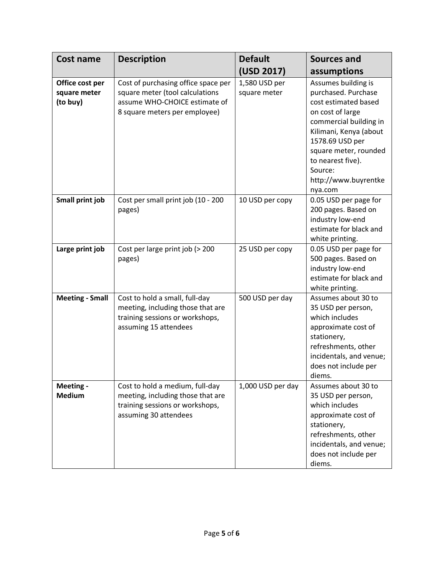| <b>Cost name</b>                            | <b>Description</b>                                                                                                                       | <b>Default</b>                | Sources and                                                                                                                                                                                                                                               |
|---------------------------------------------|------------------------------------------------------------------------------------------------------------------------------------------|-------------------------------|-----------------------------------------------------------------------------------------------------------------------------------------------------------------------------------------------------------------------------------------------------------|
|                                             |                                                                                                                                          | (USD 2017)                    | assumptions                                                                                                                                                                                                                                               |
| Office cost per<br>square meter<br>(to buy) | Cost of purchasing office space per<br>square meter (tool calculations<br>assume WHO-CHOICE estimate of<br>8 square meters per employee) | 1,580 USD per<br>square meter | Assumes building is<br>purchased. Purchase<br>cost estimated based<br>on cost of large<br>commercial building in<br>Kilimani, Kenya (about<br>1578.69 USD per<br>square meter, rounded<br>to nearest five).<br>Source:<br>http://www.buyrentke<br>nya.com |
| Small print job                             | Cost per small print job (10 - 200<br>pages)                                                                                             | 10 USD per copy               | 0.05 USD per page for<br>200 pages. Based on<br>industry low-end<br>estimate for black and<br>white printing.                                                                                                                                             |
| Large print job                             | Cost per large print job (> 200<br>pages)                                                                                                | 25 USD per copy               | 0.05 USD per page for<br>500 pages. Based on<br>industry low-end<br>estimate for black and<br>white printing.                                                                                                                                             |
| <b>Meeting - Small</b>                      | Cost to hold a small, full-day<br>meeting, including those that are<br>training sessions or workshops,<br>assuming 15 attendees          | 500 USD per day               | Assumes about 30 to<br>35 USD per person,<br>which includes<br>approximate cost of<br>stationery,<br>refreshments, other<br>incidentals, and venue;<br>does not include per<br>diems.                                                                     |
| Meeting -<br><b>Medium</b>                  | Cost to hold a medium, full-day<br>meeting, including those that are<br>training sessions or workshops,<br>assuming 30 attendees         | 1,000 USD per day             | Assumes about 30 to<br>35 USD per person,<br>which includes<br>approximate cost of<br>stationery,<br>refreshments, other<br>incidentals, and venue;<br>does not include per<br>diems.                                                                     |